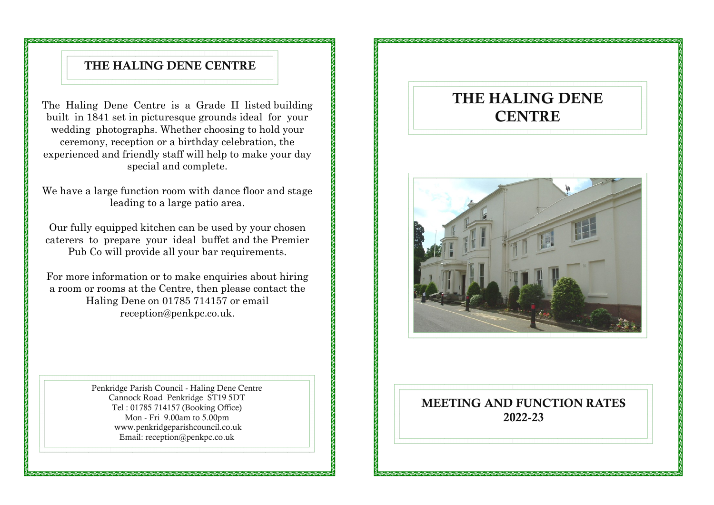#### THE HALING DENE CENTRE

The Haling Dene Centre is a Grade II listed building built in 1841 set in picturesque grounds ideal for your wedding photographs. Whether choosing to hold your ceremony, reception or a birthday celebration, the experienced and friendly staff will help to make your day special and complete.

We have a large function room with dance floor and stage leading to a large patio area.

Our fully equipped kitchen can be used by your chosen caterers to prepare your ideal buffet and the Premier Pub Co will provide all your bar requirements.

For more information or to make enquiries about hiring a room or rooms at the Centre, then please contact the Haling Dene on 01785 714157 or email reception@penkpc.co.uk.

> Penkridge Parish Council - Haling Dene Centre Cannock Road Penkridge ST19 5DT Tel : 01785 714157 (Booking Office) Mon - Fri 9.00am to 5.00pm www.penkridgeparishcouncil.co.uk Email: reception@penkpc.co.uk

## THE HALING DENE **CENTRE**



#### MEETING AND FUNCTION RATES 2022-23